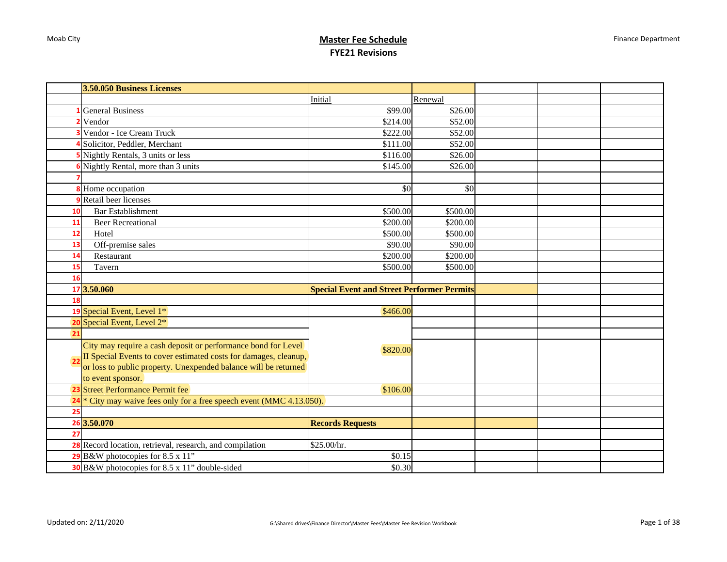|                | 3.50.050 Business Licenses                                         |                                                   |          |  |  |
|----------------|--------------------------------------------------------------------|---------------------------------------------------|----------|--|--|
|                |                                                                    | Initial                                           | Renewal  |  |  |
|                | <b>General Business</b>                                            | \$99.00                                           | \$26.00  |  |  |
|                | Vendor                                                             | \$214.00                                          | \$52.00  |  |  |
|                | <sup>3</sup> Vendor - Ice Cream Truck                              | \$222.00                                          | \$52.00  |  |  |
|                | Solicitor, Peddler, Merchant                                       | \$111.00                                          | \$52.00  |  |  |
|                | Nightly Rentals, 3 units or less                                   | \$116.00                                          | \$26.00  |  |  |
|                | Nightly Rental, more than 3 units                                  | \$145.00                                          | \$26.00  |  |  |
|                |                                                                    |                                                   |          |  |  |
|                | <b>8</b> Home occupation                                           | \$0                                               | \$0      |  |  |
|                | <b>9</b> Retail beer licenses                                      |                                                   |          |  |  |
| 10             | <b>Bar</b> Establishment                                           | \$500.00                                          | \$500.00 |  |  |
| 11             | <b>Beer Recreational</b>                                           | \$200.00                                          | \$200.00 |  |  |
| 12             | Hotel                                                              | \$500.00                                          | \$500.00 |  |  |
| 13             | Off-premise sales                                                  | \$90.00                                           | \$90.00  |  |  |
| 14             | Restaurant                                                         | \$200.00                                          | \$200.00 |  |  |
| 15             | Tavern                                                             | \$500.00                                          | \$500.00 |  |  |
| 16             |                                                                    |                                                   |          |  |  |
|                | 17 3.50.060                                                        | <b>Special Event and Street Performer Permits</b> |          |  |  |
| 18             |                                                                    |                                                   |          |  |  |
|                | 19 Special Event, Level 1*                                         | \$466.00                                          |          |  |  |
|                | 20 Special Event, Level 2*                                         |                                                   |          |  |  |
| 21             |                                                                    |                                                   |          |  |  |
|                | City may require a cash deposit or performance bond for Level      | \$820.00                                          |          |  |  |
| 2 <sub>2</sub> | II Special Events to cover estimated costs for damages, cleanup,   |                                                   |          |  |  |
|                | or loss to public property. Unexpended balance will be returned    |                                                   |          |  |  |
|                | to event sponsor.                                                  |                                                   |          |  |  |
|                | 23 Street Performance Permit fee                                   | \$106.00                                          |          |  |  |
| 24             | * City may waive fees only for a free speech event (MMC 4.13.050). |                                                   |          |  |  |
| 25             |                                                                    |                                                   |          |  |  |
|                | 26 3.50.070                                                        | <b>Records Requests</b>                           |          |  |  |
| 27             |                                                                    |                                                   |          |  |  |
|                | 28 Record location, retrieval, research, and compilation           | \$25.00/hr.                                       |          |  |  |
|                | 29 B&W photocopies for 8.5 x 11"                                   | \$0.15                                            |          |  |  |
|                | 30 B&W photocopies for 8.5 x 11" double-sided                      | \$0.30                                            |          |  |  |
|                |                                                                    |                                                   |          |  |  |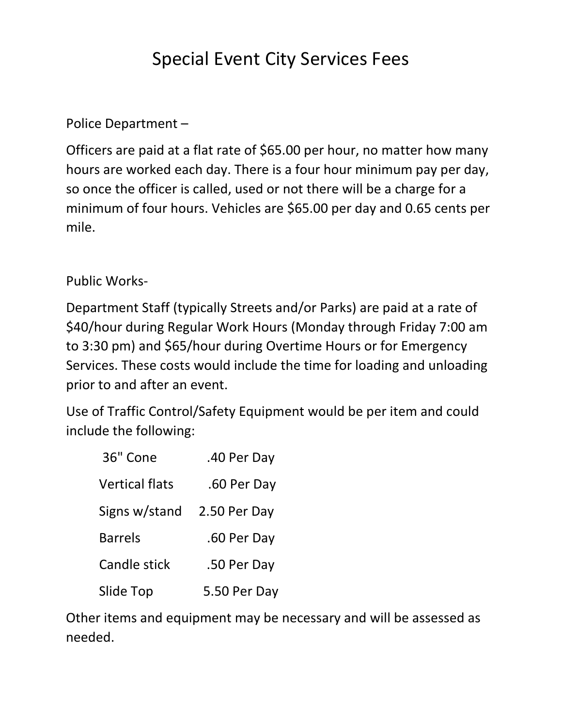## Special Event City Services Fees

Police Department –

Officers are paid at a flat rate of \$65.00 per hour, no matter how many hours are worked each day. There is a four hour minimum pay per day, so once the officer is called, used or not there will be a charge for a minimum of four hours. Vehicles are \$65.00 per day and 0.65 cents per mile.

Public Works-

Department Staff (typically Streets and/or Parks) are paid at a rate of \$40/hour during Regular Work Hours (Monday through Friday 7:00 am to 3:30 pm) and \$65/hour during Overtime Hours or for Emergency Services. These costs would include the time for loading and unloading prior to and after an event.

Use of Traffic Control/Safety Equipment would be per item and could include the following:

| 36" Cone              | .40 Per Day  |
|-----------------------|--------------|
| <b>Vertical flats</b> | .60 Per Day  |
| Signs w/stand         | 2.50 Per Day |
| <b>Barrels</b>        | .60 Per Day  |
| <b>Candle stick</b>   | .50 Per Day  |
| Slide Top             | 5.50 Per Day |

Other items and equipment may be necessary and will be assessed as needed.